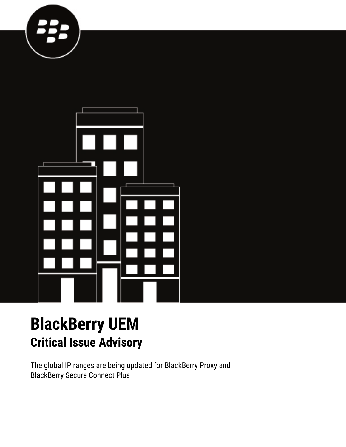



# **BlackBerry UEM Critical Issue Advisory**

The global IP ranges are being updated for BlackBerry Proxy and BlackBerry Secure Connect Plus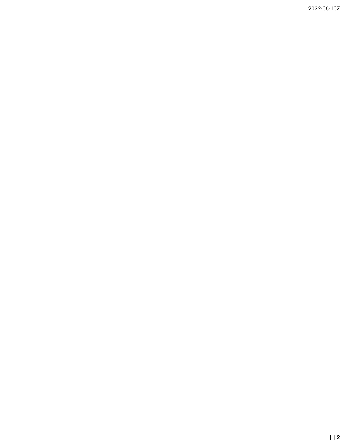2022-06-10Z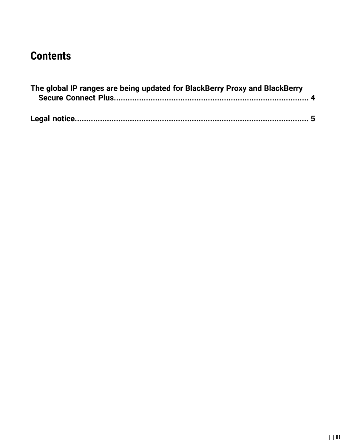### **Contents**

| The global IP ranges are being updated for BlackBerry Proxy and BlackBerry |  |
|----------------------------------------------------------------------------|--|
|                                                                            |  |
|                                                                            |  |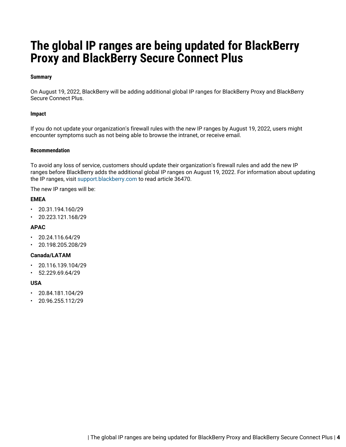### <span id="page-3-0"></span>**The global IP ranges are being updated for BlackBerry Proxy and BlackBerry Secure Connect Plus**

#### **Summary**

On August 19, 2022, BlackBerry will be adding additional global IP ranges for BlackBerry Proxy and BlackBerry Secure Connect Plus.

#### **Impact**

If you do not update your organization's firewall rules with the new IP ranges by August 19, 2022, users might encounter symptoms such as not being able to browse the intranet, or receive email.

#### **Recommendation**

To avoid any loss of service, customers should update their organization's firewall rules and add the new IP ranges before BlackBerry adds the additional global IP ranges on August 19, 2022. For information about updating the IP ranges, visit [support.blackberry.com](https://support.blackberry.com/community/s/article/36470) to read article 36470.

The new IP ranges will be:

#### **EMEA**

- $\cdot$  20.31.194.160/29
- $\cdot$  20.223.121.168/29

#### **APAC**

- 20.24.116.64/29
- 20.198.205.208/29

#### **Canada/LATAM**

- $\cdot$  20.116.139.104/29
- $\cdot$  52.229.69.64/29

#### **USA**

- $\cdot$  20.84.181.104/29
- $\cdot$  20.96.255.112/29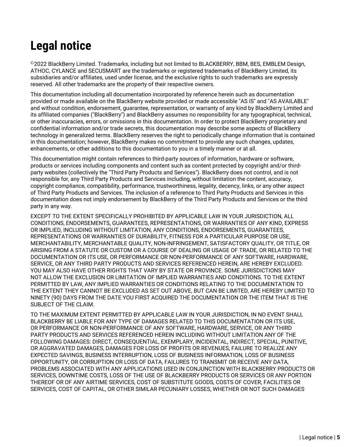## <span id="page-4-0"></span>**Legal notice**

©2022 BlackBerry Limited. Trademarks, including but not limited to BLACKBERRY, BBM, BES, EMBLEM Design, ATHOC, CYLANCE and SECUSMART are the trademarks or registered trademarks of BlackBerry Limited, its subsidiaries and/or affiliates, used under license, and the exclusive rights to such trademarks are expressly reserved. All other trademarks are the property of their respective owners.

This documentation including all documentation incorporated by reference herein such as documentation provided or made available on the BlackBerry website provided or made accessible "AS IS" and "AS AVAILABLE" and without condition, endorsement, guarantee, representation, or warranty of any kind by BlackBerry Limited and its affiliated companies ("BlackBerry") and BlackBerry assumes no responsibility for any typographical, technical, or other inaccuracies, errors, or omissions in this documentation. In order to protect BlackBerry proprietary and confidential information and/or trade secrets, this documentation may describe some aspects of BlackBerry technology in generalized terms. BlackBerry reserves the right to periodically change information that is contained in this documentation; however, BlackBerry makes no commitment to provide any such changes, updates, enhancements, or other additions to this documentation to you in a timely manner or at all.

This documentation might contain references to third-party sources of information, hardware or software, products or services including components and content such as content protected by copyright and/or thirdparty websites (collectively the "Third Party Products and Services"). BlackBerry does not control, and is not responsible for, any Third Party Products and Services including, without limitation the content, accuracy, copyright compliance, compatibility, performance, trustworthiness, legality, decency, links, or any other aspect of Third Party Products and Services. The inclusion of a reference to Third Party Products and Services in this documentation does not imply endorsement by BlackBerry of the Third Party Products and Services or the third party in any way.

EXCEPT TO THE EXTENT SPECIFICALLY PROHIBITED BY APPLICABLE LAW IN YOUR JURISDICTION, ALL CONDITIONS, ENDORSEMENTS, GUARANTEES, REPRESENTATIONS, OR WARRANTIES OF ANY KIND, EXPRESS OR IMPLIED, INCLUDING WITHOUT LIMITATION, ANY CONDITIONS, ENDORSEMENTS, GUARANTEES, REPRESENTATIONS OR WARRANTIES OF DURABILITY, FITNESS FOR A PARTICULAR PURPOSE OR USE, MERCHANTABILITY, MERCHANTABLE QUALITY, NON-INFRINGEMENT, SATISFACTORY QUALITY, OR TITLE, OR ARISING FROM A STATUTE OR CUSTOM OR A COURSE OF DEALING OR USAGE OF TRADE, OR RELATED TO THE DOCUMENTATION OR ITS USE, OR PERFORMANCE OR NON-PERFORMANCE OF ANY SOFTWARE, HARDWARE, SERVICE, OR ANY THIRD PARTY PRODUCTS AND SERVICES REFERENCED HEREIN, ARE HEREBY EXCLUDED. YOU MAY ALSO HAVE OTHER RIGHTS THAT VARY BY STATE OR PROVINCE. SOME JURISDICTIONS MAY NOT ALLOW THE EXCLUSION OR LIMITATION OF IMPLIED WARRANTIES AND CONDITIONS. TO THE EXTENT PERMITTED BY LAW, ANY IMPLIED WARRANTIES OR CONDITIONS RELATING TO THE DOCUMENTATION TO THE EXTENT THEY CANNOT BE EXCLUDED AS SET OUT ABOVE, BUT CAN BE LIMITED, ARE HEREBY LIMITED TO NINETY (90) DAYS FROM THE DATE YOU FIRST ACQUIRED THE DOCUMENTATION OR THE ITEM THAT IS THE SUBJECT OF THE CLAIM.

TO THE MAXIMUM EXTENT PERMITTED BY APPLICABLE LAW IN YOUR JURISDICTION, IN NO EVENT SHALL BLACKBERRY BE LIABLE FOR ANY TYPE OF DAMAGES RELATED TO THIS DOCUMENTATION OR ITS USE, OR PERFORMANCE OR NON-PERFORMANCE OF ANY SOFTWARE, HARDWARE, SERVICE, OR ANY THIRD PARTY PRODUCTS AND SERVICES REFERENCED HEREIN INCLUDING WITHOUT LIMITATION ANY OF THE FOLLOWING DAMAGES: DIRECT, CONSEQUENTIAL, EXEMPLARY, INCIDENTAL, INDIRECT, SPECIAL, PUNITIVE, OR AGGRAVATED DAMAGES, DAMAGES FOR LOSS OF PROFITS OR REVENUES, FAILURE TO REALIZE ANY EXPECTED SAVINGS, BUSINESS INTERRUPTION, LOSS OF BUSINESS INFORMATION, LOSS OF BUSINESS OPPORTUNITY, OR CORRUPTION OR LOSS OF DATA, FAILURES TO TRANSMIT OR RECEIVE ANY DATA, PROBLEMS ASSOCIATED WITH ANY APPLICATIONS USED IN CONJUNCTION WITH BLACKBERRY PRODUCTS OR SERVICES, DOWNTIME COSTS, LOSS OF THE USE OF BLACKBERRY PRODUCTS OR SERVICES OR ANY PORTION THEREOF OR OF ANY AIRTIME SERVICES, COST OF SUBSTITUTE GOODS, COSTS OF COVER, FACILITIES OR SERVICES, COST OF CAPITAL, OR OTHER SIMILAR PECUNIARY LOSSES, WHETHER OR NOT SUCH DAMAGES